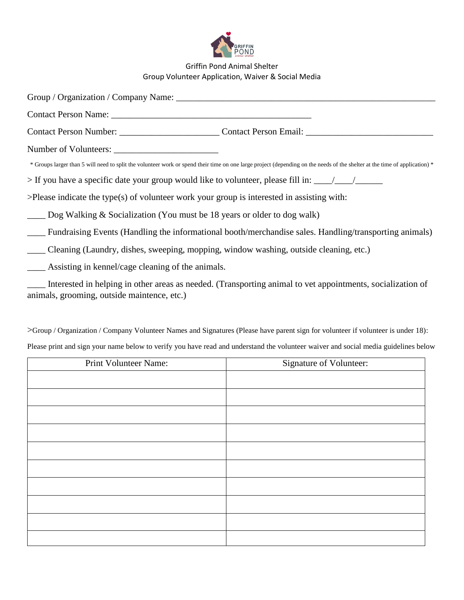

## Griffin Pond Animal Shelter Group Volunteer Application, Waiver & Social Media

| * Groups larger than 5 will need to split the volunteer work or spend their time on one large project (depending on the needs of the shelter at the time of application) * |  |  |
|----------------------------------------------------------------------------------------------------------------------------------------------------------------------------|--|--|
|                                                                                                                                                                            |  |  |
| $>$ Please indicate the type(s) of volunteer work your group is interested in assisting with:                                                                              |  |  |
| $\_\_\_\_\$ Dog Walking & Socialization (You must be 18 years or older to dog walk)                                                                                        |  |  |
| Fundraising Events (Handling the informational booth/merchandise sales. Handling/transporting animals)                                                                     |  |  |
| Cleaning (Laundry, dishes, sweeping, mopping, window washing, outside cleaning, etc.)                                                                                      |  |  |
| Assisting in kennel/cage cleaning of the animals.                                                                                                                          |  |  |
| Interested in helping in other areas as needed. (Transporting animal to vet appointments, socialization of<br>animals, grooming, outside maintence, etc.)                  |  |  |

>Group / Organization / Company Volunteer Names and Signatures (Please have parent sign for volunteer if volunteer is under 18): Please print and sign your name below to verify you have read and understand the volunteer waiver and social media guidelines below

| Print Volunteer Name: | Signature of Volunteer: |
|-----------------------|-------------------------|
|                       |                         |
|                       |                         |
|                       |                         |
|                       |                         |
|                       |                         |
|                       |                         |
|                       |                         |
|                       |                         |
|                       |                         |
|                       |                         |